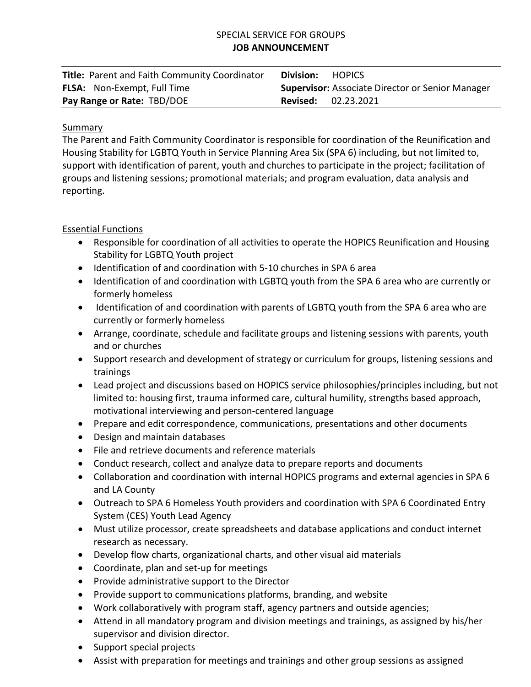# SPECIAL SERVICE FOR GROUPS **JOB ANNOUNCEMENT**

| Title: Parent and Faith Community Coordinator | Division:<br><b>HOPICS</b>                              |
|-----------------------------------------------|---------------------------------------------------------|
| <b>FLSA:</b> Non-Exempt, Full Time            | <b>Supervisor: Associate Director or Senior Manager</b> |
| Pay Range or Rate: TBD/DOE                    | <b>Revised:</b> 02.23.2021                              |

### Summary

The Parent and Faith Community Coordinator is responsible for coordination of the Reunification and Housing Stability for LGBTQ Youth in Service Planning Area Six (SPA 6) including, but not limited to, support with identification of parent, youth and churches to participate in the project; facilitation of groups and listening sessions; promotional materials; and program evaluation, data analysis and reporting.

# Essential Functions

- Responsible for coordination of all activities to operate the HOPICS Reunification and Housing Stability for LGBTQ Youth project
- Identification of and coordination with 5-10 churches in SPA 6 area
- Identification of and coordination with LGBTQ youth from the SPA 6 area who are currently or formerly homeless
- Identification of and coordination with parents of LGBTQ youth from the SPA 6 area who are currently or formerly homeless
- Arrange, coordinate, schedule and facilitate groups and listening sessions with parents, youth and or churches
- Support research and development of strategy or curriculum for groups, listening sessions and trainings
- Lead project and discussions based on HOPICS service philosophies/principles including, but not limited to: housing first, trauma informed care, cultural humility, strengths based approach, motivational interviewing and person-centered language
- Prepare and edit correspondence, communications, presentations and other documents
- Design and maintain databases
- File and retrieve documents and reference materials
- Conduct research, collect and analyze data to prepare reports and documents
- Collaboration and coordination with internal HOPICS programs and external agencies in SPA 6 and LA County
- Outreach to SPA 6 Homeless Youth providers and coordination with SPA 6 Coordinated Entry System (CES) Youth Lead Agency
- Must utilize processor, create spreadsheets and database applications and conduct internet research as necessary.
- Develop flow charts, organizational charts, and other visual aid materials
- Coordinate, plan and set-up for meetings
- Provide administrative support to the Director
- Provide support to communications platforms, branding, and website
- Work collaboratively with program staff, agency partners and outside agencies;
- Attend in all mandatory program and division meetings and trainings, as assigned by his/her supervisor and division director.
- Support special projects
- Assist with preparation for meetings and trainings and other group sessions as assigned